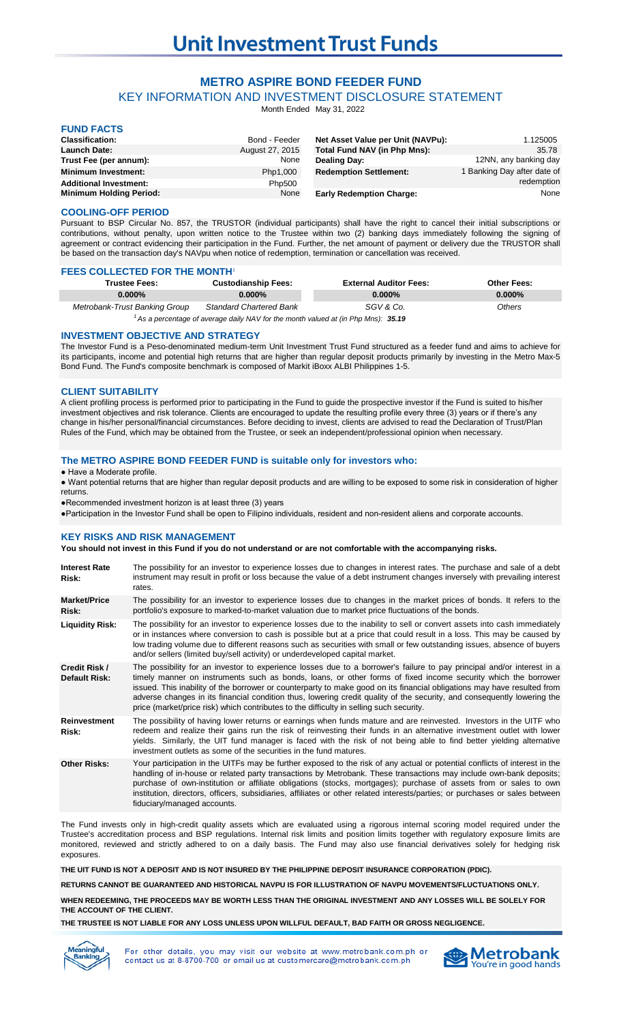# **METRO ASPIRE BOND FEEDER FUND**

KEY INFORMATION AND INVESTMENT DISCLOSURE STATEMENT

Month Ended May 31, 2022

| <b>FUND FACTS</b>              |                 |                                   |                                  |
|--------------------------------|-----------------|-----------------------------------|----------------------------------|
| <b>Classification:</b>         | Bond - Feeder   | Net Asset Value per Unit (NAVPu): | 1.125005                         |
| <b>Launch Date:</b>            | August 27, 2015 | Total Fund NAV (in Php Mns):      | 35.78                            |
| Trust Fee (per annum):         | None            | <b>Dealing Day:</b>               | 12NN, any banking day            |
| <b>Minimum Investment:</b>     | Php1,000        | <b>Redemption Settlement:</b>     | <b>Banking Day after date of</b> |
| <b>Additional Investment:</b>  | Php500          |                                   | redemption                       |
| <b>Minimum Holding Period:</b> | None            | <b>Early Redemption Charge:</b>   | None                             |

### **COOLING-OFF PERIOD**

Pursuant to BSP Circular No. 857, the TRUSTOR (individual participants) shall have the right to cancel their initial subscriptions or contributions, without penalty, upon written notice to the Trustee within two (2) banking days immediately following the signing of agreement or contract evidencing their participation in the Fund. Further, the net amount of payment or delivery due the TRUSTOR shall be based on the transaction day's NAVpu when notice of redemption, termination or cancellation was received.

#### **FEES COLLECTED FOR THE MONTH**

| <b>Trustee Fees:</b>          | <b>Custodianship Fees:</b>     | <b>External Auditor Fees:</b> | <b>Other Fees:</b> |
|-------------------------------|--------------------------------|-------------------------------|--------------------|
| $0.000\%$                     | $0.000\%$                      | $0.000\%$                     | $0.000\%$          |
| Metrobank-Trust Banking Group | <b>Standard Chartered Bank</b> | SGV & Co.                     | Others             |

*35.19 <sup>1</sup>As a percentage of average daily NAV for the month valued at (in Php Mns):*

#### **INVESTMENT OBJECTIVE AND STRATEGY**

The Investor Fund is a Peso-denominated medium-term Unit Investment Trust Fund structured as a feeder fund and aims to achieve for its participants, income and potential high returns that are higher than regular deposit products primarily by investing in the Metro Max-5 Bond Fund. The Fund's composite benchmark is composed of Markit iBoxx ALBI Philippines 1-5.

## **CLIENT SUITABILITY**

A client profiling process is performed prior to participating in the Fund to guide the prospective investor if the Fund is suited to his/her investment objectives and risk tolerance. Clients are encouraged to update the resulting profile every three (3) years or if there's any change in his/her personal/financial circumstances. Before deciding to invest, clients are advised to read the Declaration of Trust/Plan Rules of the Fund, which may be obtained from the Trustee, or seek an independent/professional opinion when necessary.

#### **The METRO ASPIRE BOND FEEDER FUND is suitable only for investors who:**

● Have a Moderate profile.

● Want potential returns that are higher than regular deposit products and are willing to be exposed to some risk in consideration of higher returns.

●Recommended investment horizon is at least three (3) years

●Participation in the Investor Fund shall be open to Filipino individuals, resident and non-resident aliens and corporate accounts.

## **KEY RISKS AND RISK MANAGEMENT**

#### **You should not invest in this Fund if you do not understand or are not comfortable with the accompanying risks.**

| <b>Interest Rate</b><br>Risk:  | The possibility for an investor to experience losses due to changes in interest rates. The purchase and sale of a debt<br>instrument may result in profit or loss because the value of a debt instrument changes inversely with prevailing interest<br>rates.                                                                                                                                                                                                                                                                                                                            |
|--------------------------------|------------------------------------------------------------------------------------------------------------------------------------------------------------------------------------------------------------------------------------------------------------------------------------------------------------------------------------------------------------------------------------------------------------------------------------------------------------------------------------------------------------------------------------------------------------------------------------------|
| <b>Market/Price</b><br>Risk:   | The possibility for an investor to experience losses due to changes in the market prices of bonds. It refers to the<br>portfolio's exposure to marked-to-market valuation due to market price fluctuations of the bonds.                                                                                                                                                                                                                                                                                                                                                                 |
| <b>Liquidity Risk:</b>         | The possibility for an investor to experience losses due to the inability to sell or convert assets into cash immediately<br>or in instances where conversion to cash is possible but at a price that could result in a loss. This may be caused by<br>low trading volume due to different reasons such as securities with small or few outstanding issues, absence of buyers<br>and/or sellers (limited buy/sell activity) or underdeveloped capital market.                                                                                                                            |
| Credit Risk /<br>Default Risk: | The possibility for an investor to experience losses due to a borrower's failure to pay principal and/or interest in a<br>timely manner on instruments such as bonds, loans, or other forms of fixed income security which the borrower<br>issued. This inability of the borrower or counterparty to make good on its financial obligations may have resulted from<br>adverse changes in its financial condition thus, lowering credit quality of the security, and consequently lowering the<br>price (market/price risk) which contributes to the difficulty in selling such security. |
| <b>Reinvestment</b><br>Risk:   | The possibility of having lower returns or earnings when funds mature and are reinvested. Investors in the UITF who<br>redeem and realize their gains run the risk of reinvesting their funds in an alternative investment outlet with lower<br>yields. Similarly, the UIT fund manager is faced with the risk of not being able to find better yielding alternative<br>investment outlets as some of the securities in the fund matures.                                                                                                                                                |
| <b>Other Risks:</b>            | Your participation in the UITFs may be further exposed to the risk of any actual or potential conflicts of interest in the<br>handling of in-house or related party transactions by Metrobank. These transactions may include own-bank deposits;<br>purchase of own-institution or affiliate obligations (stocks, mortgages); purchase of assets from or sales to own<br>institution, directors, officers, subsidiaries, affiliates or other related interests/parties; or purchases or sales between<br>fiduciary/managed accounts.                                                     |

The Fund invests only in high-credit quality assets which are evaluated using a rigorous internal scoring model required under the Trustee's accreditation process and BSP regulations. Internal risk limits and position limits together with regulatory exposure limits are monitored, reviewed and strictly adhered to on a daily basis. The Fund may also use financial derivatives solely for hedging risk exposures.

**THE UIT FUND IS NOT A DEPOSIT AND IS NOT INSURED BY THE PHILIPPINE DEPOSIT INSURANCE CORPORATION (PDIC).**

**RETURNS CANNOT BE GUARANTEED AND HISTORICAL NAVPU IS FOR ILLUSTRATION OF NAVPU MOVEMENTS/FLUCTUATIONS ONLY.**

**WHEN REDEEMING, THE PROCEEDS MAY BE WORTH LESS THAN THE ORIGINAL INVESTMENT AND ANY LOSSES WILL BE SOLELY FOR THE ACCOUNT OF THE CLIENT.**

**THE TRUSTEE IS NOT LIABLE FOR ANY LOSS UNLESS UPON WILLFUL DEFAULT, BAD FAITH OR GROSS NEGLIGENCE.**



For other details, you may visit our website at www.metrobank.com.ph or contact us at 8-8700-700 or email us at customercare@metrobank.com.ph

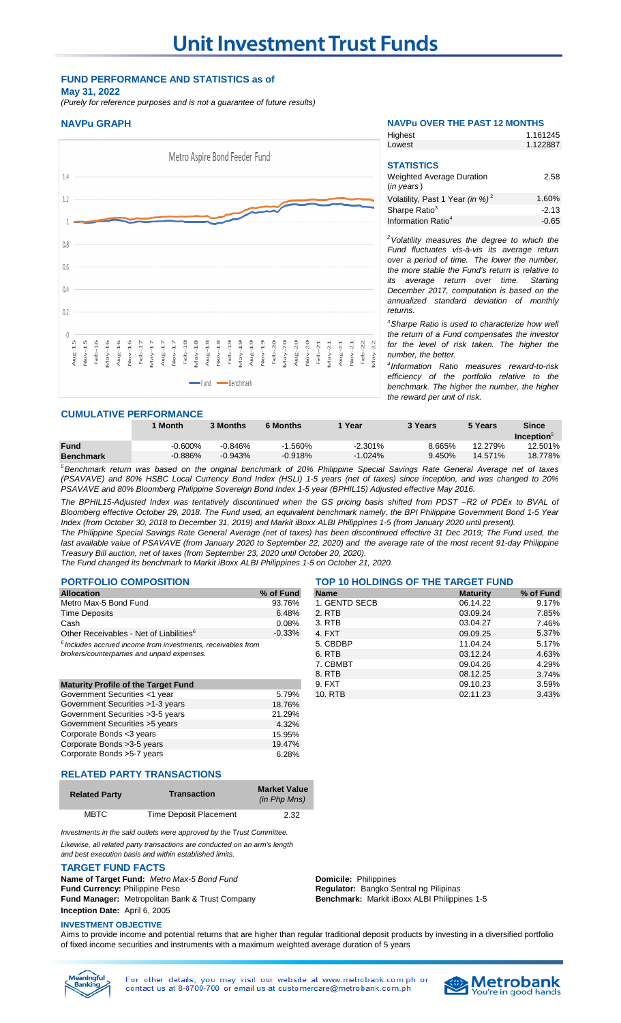## **FUND PERFORMANCE AND STATISTICS as of May 31, 2022**

*(Purely for reference purposes and is not a guarantee of future results)*



## **NAVPu GRAPH NAVPu OVER THE PAST 12 MONTHS**

| Highest                                     | 1.161245 |
|---------------------------------------------|----------|
| Lowest                                      | 1.122887 |
|                                             |          |
| <b>STATISTICS</b>                           |          |
| <b>Weighted Average Duration</b>            | 2.58     |
| $(in \text{ years})$                        |          |
| Volatility, Past 1 Year (in %) <sup>2</sup> | 1.60%    |
| Sharpe Ratio <sup>3</sup>                   | $-2.13$  |
| Information Ratio <sup>4</sup>              | -0.65    |

*<sup>2</sup>Volatility measures the degree to which the Fund fluctuates vis-à-vis its average return over a period of time. The lower the number, the more stable the Fund's return is relative to its average return over time. December 2017, computation is based on the annualized standard deviation of monthly returns.* 

*<sup>3</sup>Sharpe Ratio is used to characterize how well the return of a Fund compensates the investor for the level of risk taken. The higher the number, the better.*

*4 Information Ratio measures reward-to-risk efficiency of the portfolio relative to the benchmark. The higher the number, the higher the reward per unit of risk.*

## **CUMULATIVE PERFORMANCE**

|                  | 1 Month   | 3 Months  | <b>6 Months</b>                                         | Year       | 3 Years | 5 Years | Since            |
|------------------|-----------|-----------|---------------------------------------------------------|------------|---------|---------|------------------|
|                  |           |           |                                                         |            |         |         | <b>Inception</b> |
| <b>Fund</b>      | $-0.600%$ | $-0.846%$ | $-1.560\%$                                              | $-2.301\%$ | 8.665%  | 12.279% | 12.501%          |
| <b>Benchmark</b> | $-0.886%$ | $-0.943%$ | $-0.918%$                                               | $-1.024\%$ | 9.450%  | 14.571% | 18.778%          |
| $5 - 1$          |           |           | $\sim$ $\sim$ $\sim$ $\sim$ $\sim$ $\sim$ $\sim$ $\sim$ | $\sim$     | - -     |         |                  |

<sup>5</sup>Benchmark return was based on the original benchmark of 20% Philippine Special Savings Rate General Average net of taxes (PSAVAVE) and 80% HSBC Local Currency Bond Index (HSLI) 1-5 years (net of taxes) since inception, and was changed to 20% *PSAVAVE and 80% Bloomberg Philippine Sovereign Bond Index 1-5 year (BPHIL15) Adjusted effective May 2016.*

The BPHIL15-Adjusted Index was tentatively discontinued when the GS pricing basis shifted from PDST -R2 of PDEx to BVAL of Bloomberg effective October 29, 2018. The Fund used, an equivalent benchmark namely, the BPI Philippine Government Bond 1-5 Year *Index (from October 30, 2018 to December 31, 2019) and Markit iBoxx ALBI Philippines 1-5 (from January 2020 until present).*

The Philippine Special Savings Rate General Average (net of taxes) has been discontinued effective 31 Dec 2019; The Fund used, the last available value of PSAVAVE (from January 2020 to September 22, 2020) and the average rate of the most recent 91-day Philippine *Treasury Bill auction, net of taxes (from September 23, 2020 until October 20, 2020).*

*The Fund changed its benchmark to Markit iBoxx ALBI Philippines 1-5 on October 21, 2020.*

| <b>Allocation</b>                                                                                                                                                                                                                                                                                | % of Fund |
|--------------------------------------------------------------------------------------------------------------------------------------------------------------------------------------------------------------------------------------------------------------------------------------------------|-----------|
| Metro Max-5 Bond Fund                                                                                                                                                                                                                                                                            | 93.76%    |
| <b>Time Deposits</b>                                                                                                                                                                                                                                                                             | 6.48%     |
| Cash                                                                                                                                                                                                                                                                                             | 0.08%     |
| Other Receivables - Net of Liabilities <sup>6</sup>                                                                                                                                                                                                                                              | $-0.33\%$ |
| $6$ Includes accrued income from investments, receivables from<br>to a book of the contraction of the state of the state of the state of the state of the state of the state of the state of the state of the state of the state of the state of the state of the state of the state of the stat |           |

|                                            |        | $\delta$ . KIB | <b>08.12.25</b> | 3.14% |
|--------------------------------------------|--------|----------------|-----------------|-------|
| <b>Maturity Profile of the Target Fund</b> |        | 9. FXT         | 09.10.23        | 3.59% |
| Government Securities <1 year              | 5.79%  | 10. RTB        | 02.11.23        | 3.43% |
| Government Securities >1-3 years           | 18.76% |                |                 |       |
| Government Securities > 3-5 years          | 21.29% |                |                 |       |
| Government Securities > 5 years            | 4.32%  |                |                 |       |
| Corporate Bonds <3 years                   | 15.95% |                |                 |       |
| Corporate Bonds > 3-5 years                | 19.47% |                |                 |       |
| Corporate Bonds > 5-7 years                | 6.28%  |                |                 |       |
|                                            |        |                |                 |       |

#### **PORTFOLIO COMPOSITION** TOP 10 HOLDINGS OF THE TARGET FUND<br>Allocation Maturity Washing Manne Maturity Maturity **Allocation % of Fund Name Maturity % of Fund** 1. GENTD SECB 06.14.22 9.17%<br>2. RTB 03.09.24 7.85% Time Deposits 6.48% 2. RTB 03.09.24 7.85% Cash 0.08% 3. RTB 03.04.27 7.46% -0.33% 4. FXT 09.09.25 5.37% *Includes accrued income from investments, receivables from* 5. CBDBP 11.04.24 5.17% *brokers/counterparties and unpaid expenses.* 6. RTB 03.12.24 4.63% 7. CBMBT 09.04.26 4.29% 8. RTB 08.12.25 3.74% **Maturity Profile of the Target Fund** 8.59% **9.10.23 3.59% 19.59% 19.59% 19.10.23** 3.59%

## **RELATED PARTY TRANSACTIONS**

| <b>Related Party</b> | <b>Transaction</b>            | <b>Market Value</b><br>(in Php Mns) |
|----------------------|-------------------------------|-------------------------------------|
| <b>MBTC</b>          | <b>Time Deposit Placement</b> | 2.32                                |

*Investments in the said outlets were approved by the Trust Committee. Likewise, all related party transactions are conducted on an arm's length*

*and best execution basis and within established limits.*

#### **TARGET FUND FACTS**

**Name of Target Fund:** Metro Max-5 Bond Fund **Domicile:** Philippines **Fund Currency:** Philippine Peso **Regulator:** Bangko Sentral ng Pilipinas **Fund Manager:** Metropolitan Bank & Trust Company **Inception Date:** April 6, 2005

**Benchmark:** Markit iBoxx ALBI Philippines 1-5

## **INVESTMENT OBJECTIVE**

Aims to provide income and potential returns that are higher than regular traditional deposit products by investing in a diversified portfolio of fixed income securities and instruments with a maximum weighted average duration of 5 years